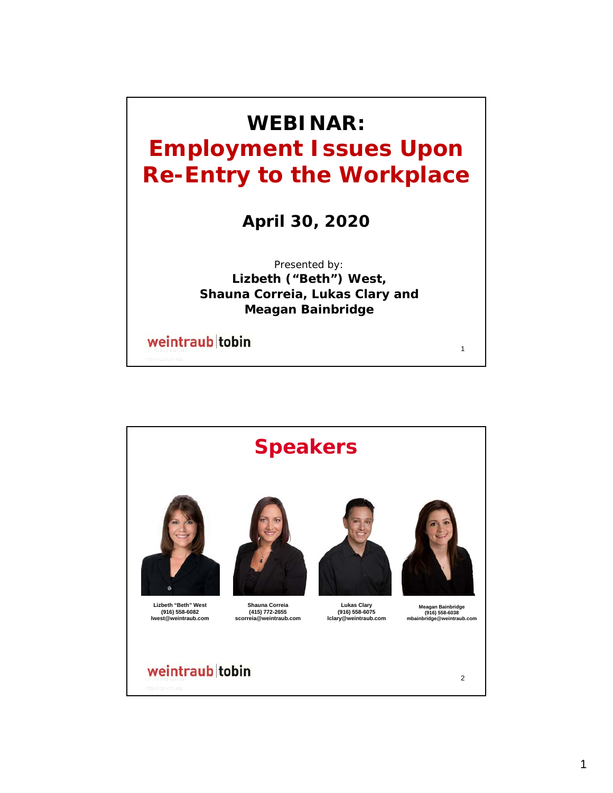

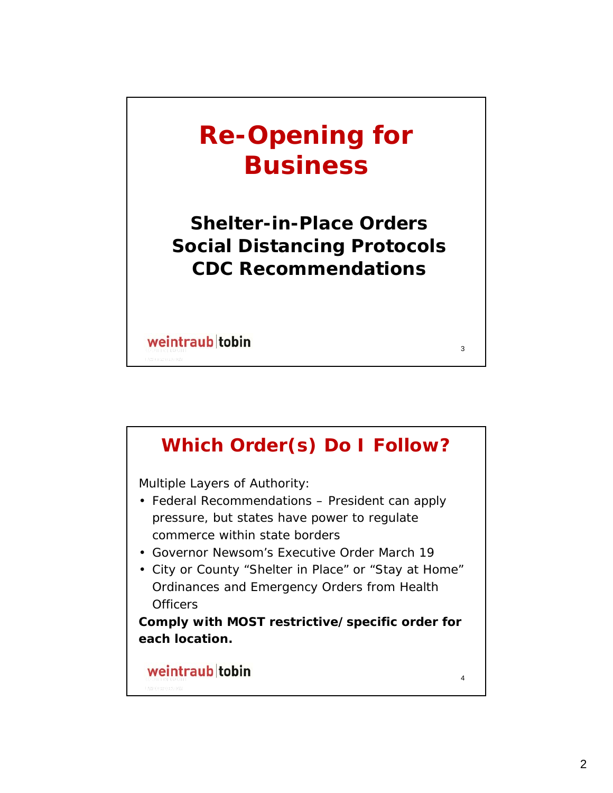# **Re-Opening for Business**

**Shelter-in-Place Orders Social Distancing Protocols CDC Recommendations**

3

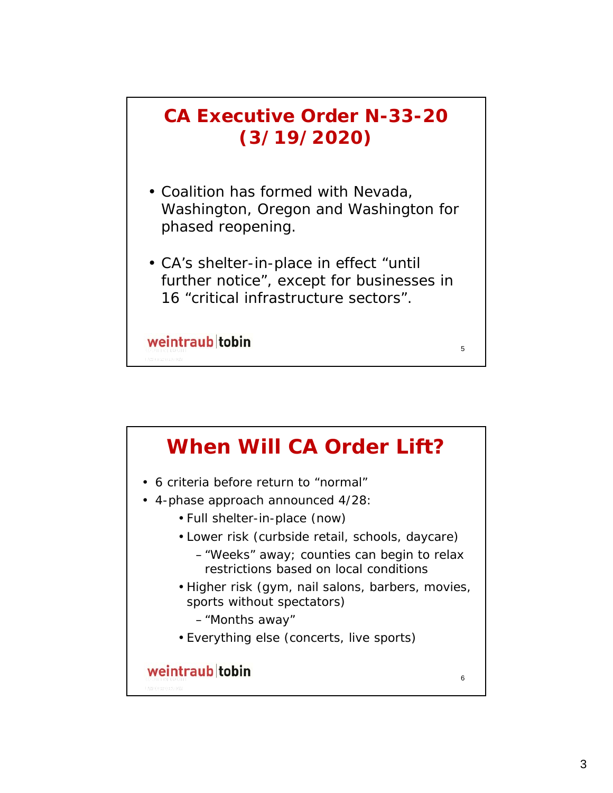

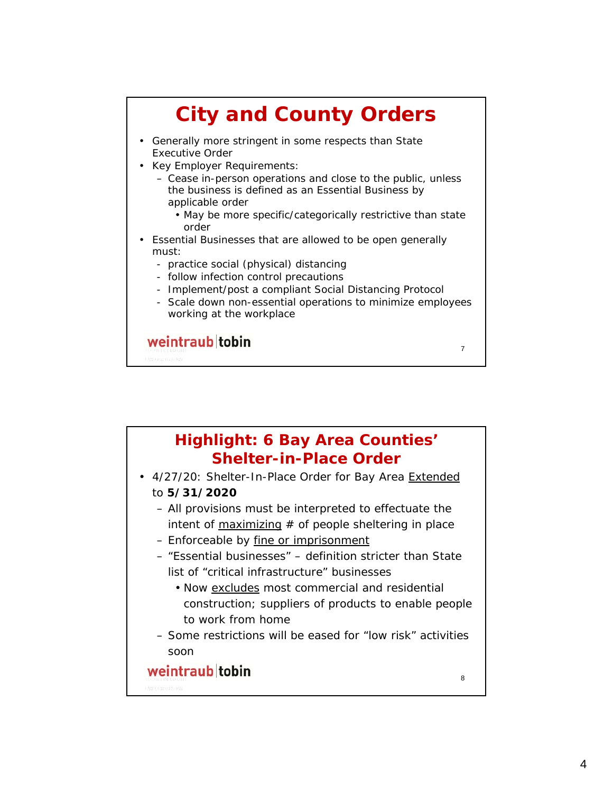

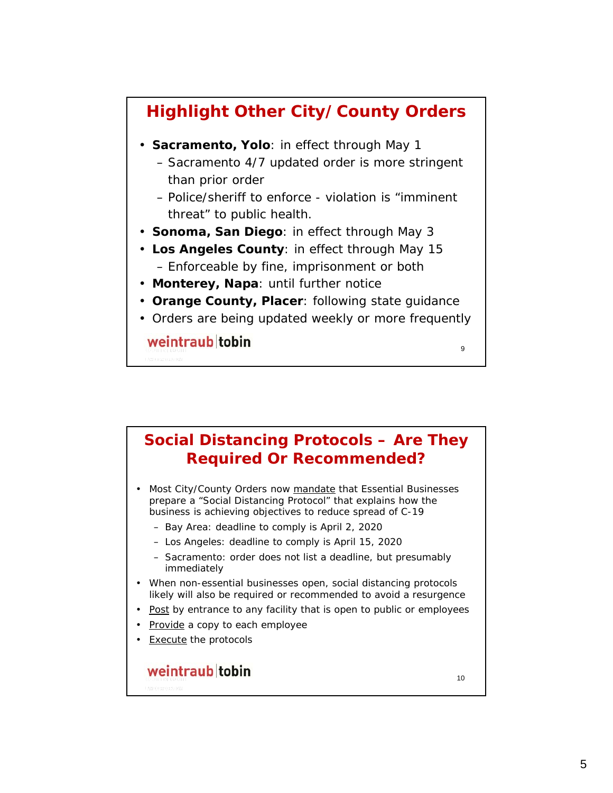

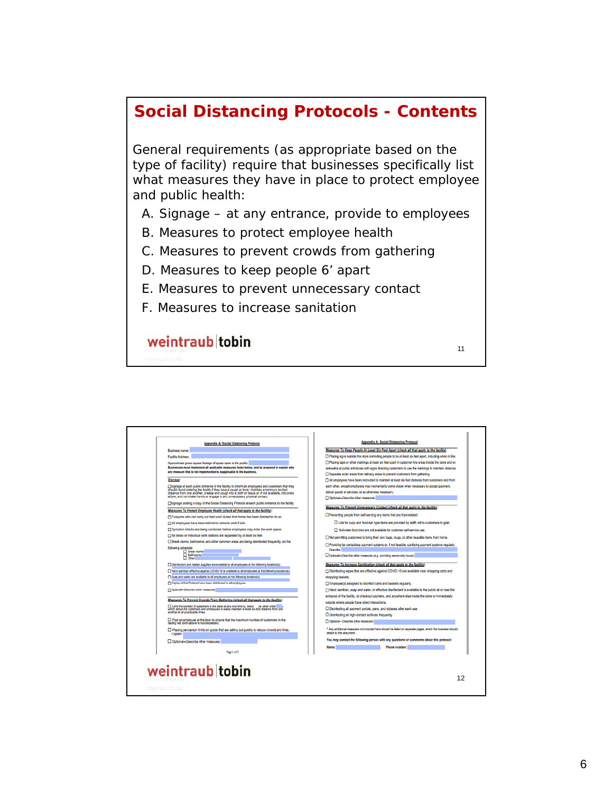#### **Social Distancing Protocols - Contents**

General requirements (as appropriate based on the type of facility) require that businesses specifically list what measures they have in place to protect employee and public health:

A. Signage – at any entrance, provide to employees

11

- B. Measures to protect employee health
- C. Measures to prevent crowds from gathering
- D. Measures to keep people 6' apart
- E. Measures to prevent unnecessary contact
- F. Measures to increase sanitation

#### weintraub tobin

**Appendix A: Social Distancing Protocol Appendix A: Social Distancing Protocol** Measures To Keep People At Least Six Feet Apart (check all that apply to the facility) Business name: **Facility Address:** □ Placing signs outside the store reminding people to be at least six feet apart, including when in line. ranney monetos.<br>Approximate grous square footage of space open to the public:<br>Businesses must implement all applicable measures listed below, and be prepared to explait<br>any measure that is not implemented is inapplicable t G racing ago occupe the control telluring propins to be a lead on too quart, inademy means in the C<br>
The cing tape or other markings at least six feet apart in customer line areas inside the store and on<br>
sidewalks at publ  $\Box$  Separate order areas from delivery areas to prevent customers from gathering. Signage: All employees have been instructed to maintain at least six feet distance from customers and from  $\Box$  are inclusive transverse in the constant of the main and the second of the second of the second payment, and the second employees may momentarly come of when necessary to accept payment, deliver goods or services, or missionage at each public entrance of the facility to inform all employees and customers that they<br>distance from one another, release and couply into a codit or thisse or, if not a mallable, into one's<br>distance from one an Measures To Prevent Unnecessary Contact (check all that apply to the facility). Measures To Protect Employee Health (check all that apply to the facility):  $\Box$ Preventing people from self-serving any items that are food-related Everyone who can carry out their work duties from home has been directed to do so. All employees have been told not to come to work if sick. □ Lids for cups and food-bar type items are provided by staff; not to customers to grab.  $\square$  Symptom checks are being conducted before employees may enter the work space. Bulk-item food bins are not available for customer self-service use. □ All desks or individual work stations are separated by at least sk feet. □ Not permitting customers to bring their own bags, mugs, or other reusable items from home Break rooms, bathrooms, and other common areas are being disinfected frequently, on the following schedule:<br>□ Dreak rooms:<br>□ Bathrooms.<br>□ Other  $\label{eq:convergence} \begin{array}{ll} \Box \textsc{Diameter and reduced regions are smallest to all empty set. In following vectors:}\\ \Box \textsc{There's metric of vector space (COCCD's a result to be a vector to the following vector(s).}\\ \textsc{The proof of a vector space of vector space (COCCD's a product to be the boundary of vector(s).}\\ \Box \textsc{Coyes of the Protons of one been denoted by the vector is the polynomial.} \end{array}$ Measures To Increase Sanitization (check all that apply to the facility): The measures to increase connection (creck on the spay to the neutriti-<br>
□ Disinfecting wipes that are effective against COVID-19 are available near shopping carts and shopping baskets. Optional-Describe other measures. entrance of the facility, at checkout counters, and anywhere else inside the store or immediately Measures To Prevent Crowds From Gathering (check all that apply to the facility) outside where people have direct interactions. [.] Limit the number of customers in the store at any one time to Select (or other enter [...]).<br>which allows for customers and employees to easily maintain at least six-foot distance from one<br>another at all practicable ti Disinfecting all payment portals, pens, and styluses after each use. Disinfecting all high-contact surfaces frequently. □ Post an employee at the door to ensure that the maximum number of customers in the<br>facility set forth above is not exceeded. □ Optional—Describe other measures: \* Any additional measures not included here should be listed on separate pages, which the business should<br>attach to this document. E Placing per-person limits on goods that are selling out quickly to reduce crowds and lines.<br>Explain: You may contact the following person with any questions or comments about this prot Optional-Describe other measures: **Name: Phone number: Phone number: Phone number:** Page 1 of 2 weintraub tobin 12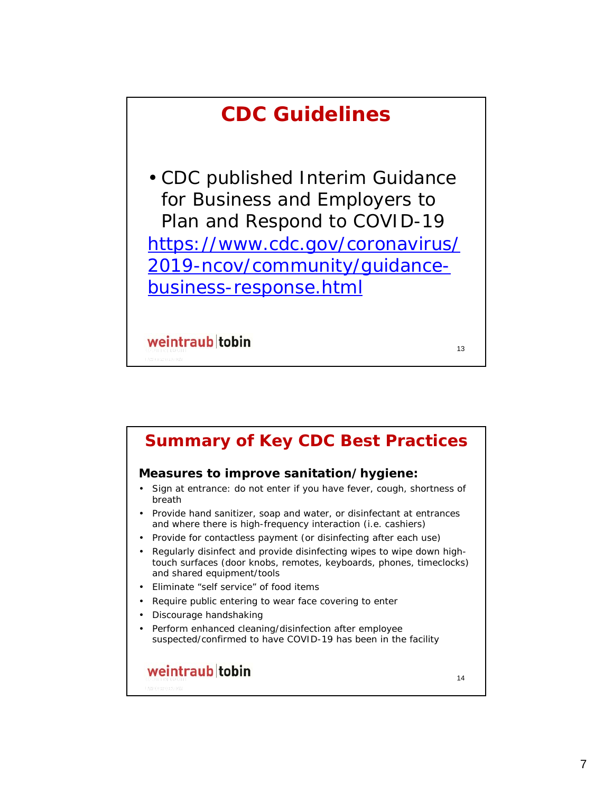

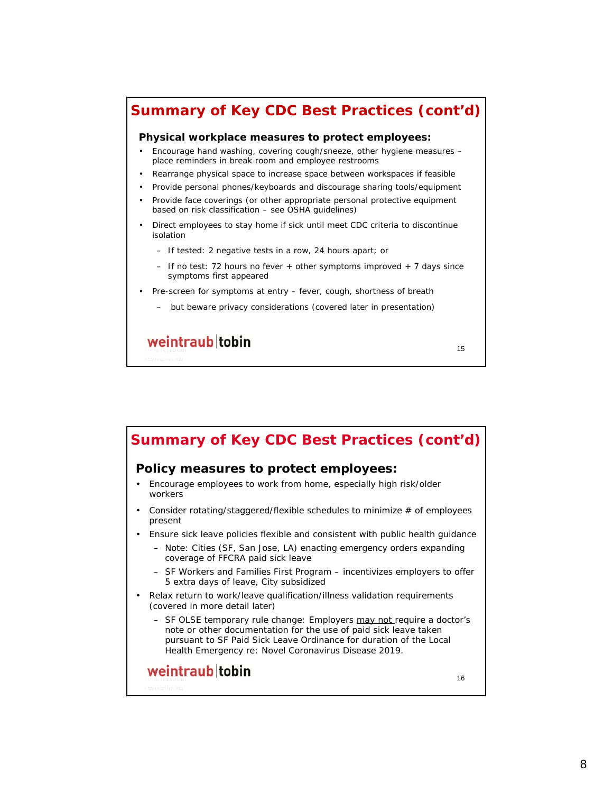#### **Summary of Key CDC Best Practices (cont'd)**

#### **Physical workplace measures to protect employees:**

- Encourage hand washing, covering cough/sneeze, other hygiene measures place reminders in break room and employee restrooms
- Rearrange physical space to increase space between workspaces if feasible
- Provide personal phones/keyboards and discourage sharing tools/equipment
- Provide face coverings (or other appropriate personal protective equipment based on risk classification – see OSHA guidelines)
- Direct employees to stay home if sick until meet CDC criteria to discontinue isolation
	- If tested: 2 negative tests in a row, 24 hours apart; or
	- $-$  If no test: 72 hours no fever  $+$  other symptoms improved  $+$  7 days since symptoms first appeared

15

- Pre-screen for symptoms at entry fever, cough, shortness of breath
	- but *beware* privacy considerations (covered later in presentation)

### weintraub tobin

**Summary of Key CDC Best Practices (cont'd)Policy measures to protect employees:** • Encourage employees to work from home, especially high risk/older workers • Consider rotating/staggered/flexible schedules to minimize # of employees present • Ensure sick leave policies flexible and consistent with public health guidance – Note: Cities (SF, San Jose, LA) enacting emergency orders expanding coverage of FFCRA paid sick leave – *SF Workers and Families First Program* – incentivizes employers to offer 5 extra days of leave, City subsidized • Relax return to work/leave qualification/illness validation requirements (covered in more detail later) – *SF OLSE temporary rule change*: Employers may not require a doctor's note or other documentation for the use of paid sick leave taken pursuant to SF Paid Sick Leave Ordinance for duration of the Local Health Emergency re: Novel Coronavirus Disease 2019. weintraub tobin 16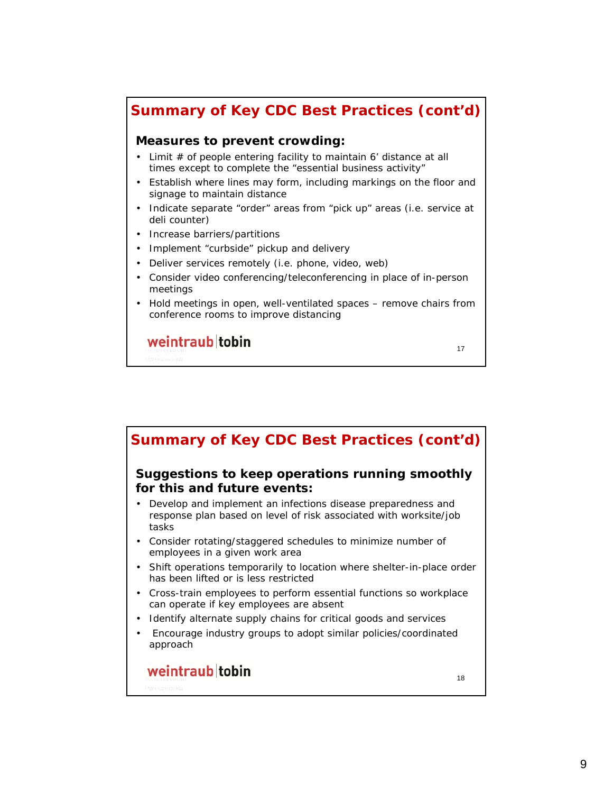#### **Summary of Key CDC Best Practices (cont'd)**

#### **Measures to prevent crowding:**

- Limit  $#$  of people entering facility to maintain 6' distance at all times except to complete the "essential business activity"
- Establish where lines may form, including markings on the floor and signage to maintain distance
- Indicate separate "order" areas from "pick up" areas (i.e. service at deli counter)
- Increase barriers/partitions
- Implement "curbside" pickup and delivery
- Deliver services remotely (i.e. phone, video, web)
- Consider video conferencing/teleconferencing in place of in-person meetings
- Hold meetings in open, well-ventilated spaces remove chairs from conference rooms to improve distancing

17

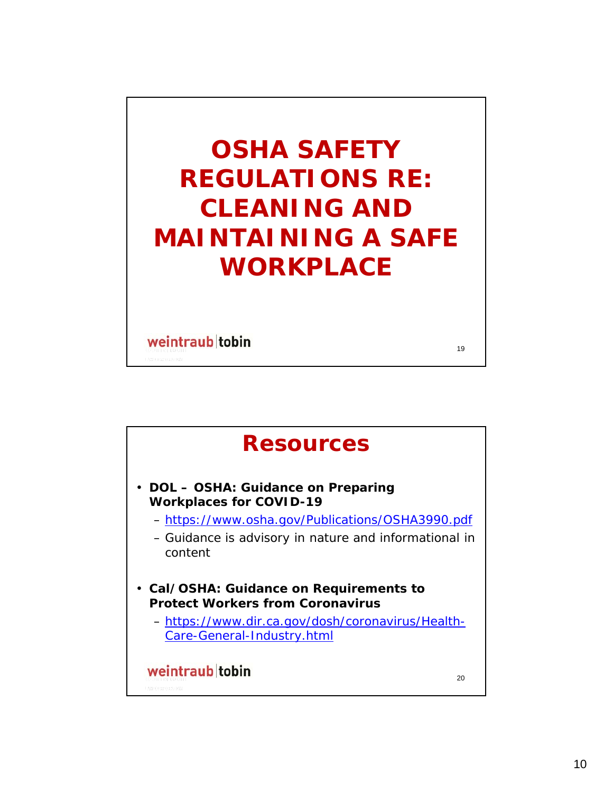# **OSHA SAFETY REGULATIONS RE: CLEANING AND MAINTAINING A SAFE WORKPLACE**

19

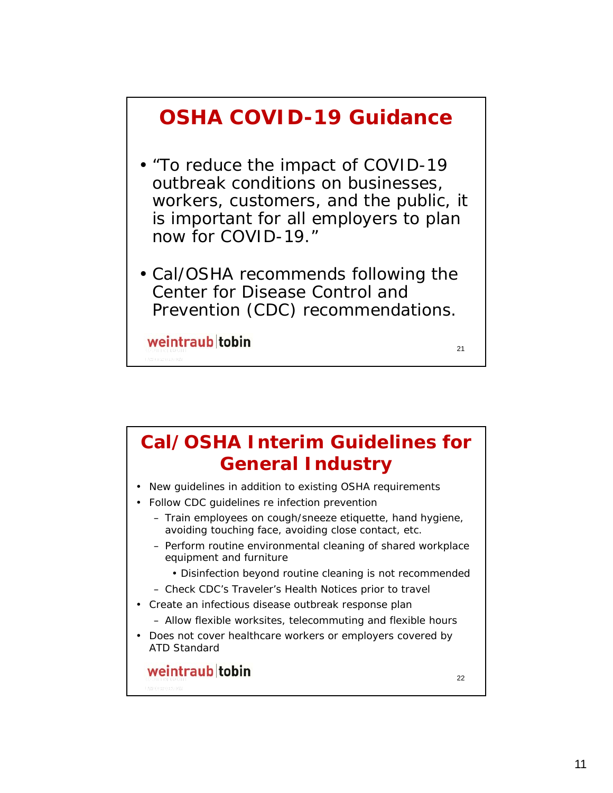## **OSHA COVID-19 Guidance** • "To reduce the impact of COVID-19 outbreak conditions on businesses, workers, customers, and the public, it is important for all employers to plan now for COVID-19." • Cal/OSHA recommends following the Center for Disease Control and Prevention (CDC) recommendations. weintraub tobin 21

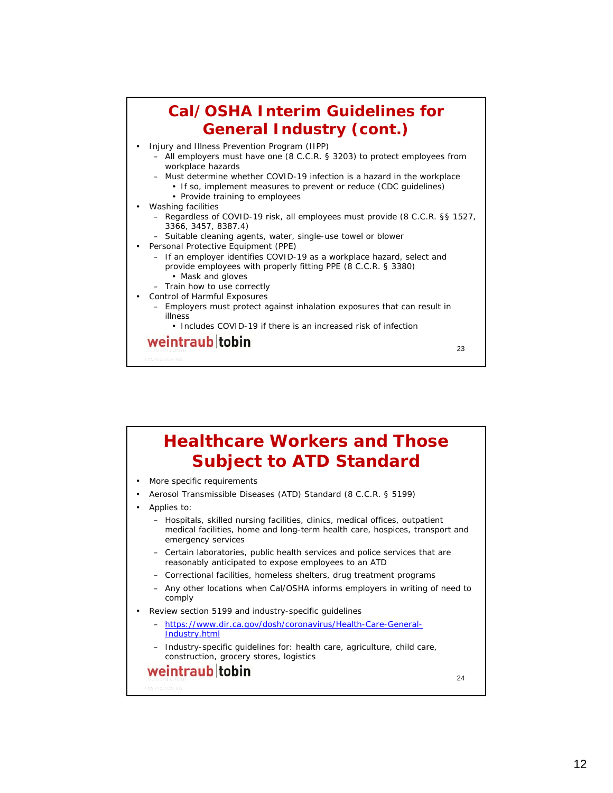

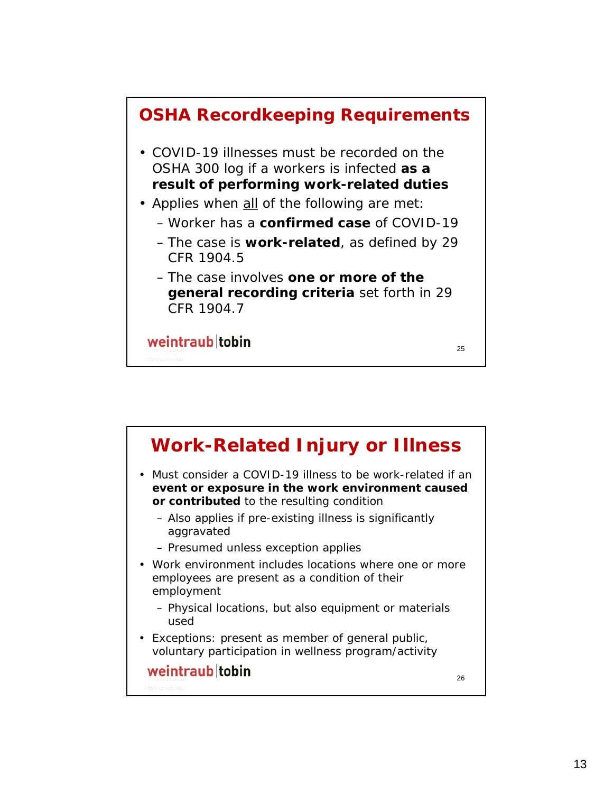

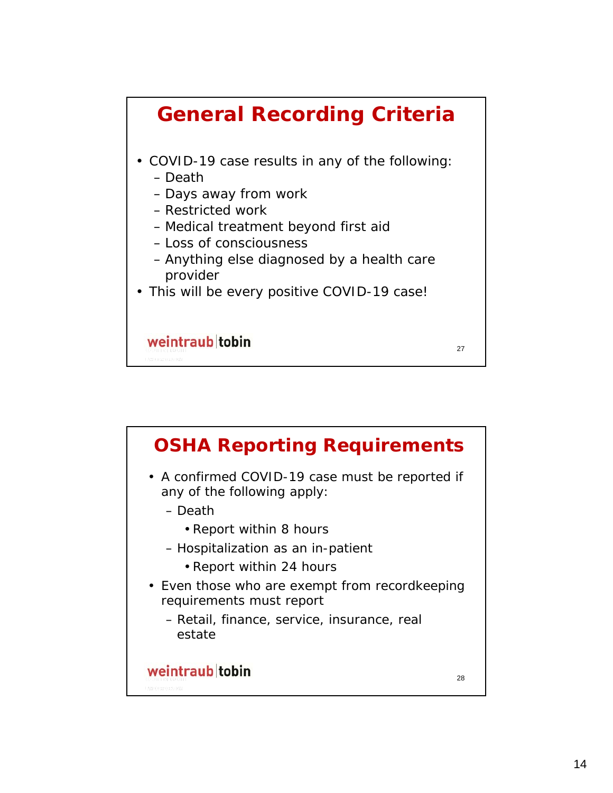

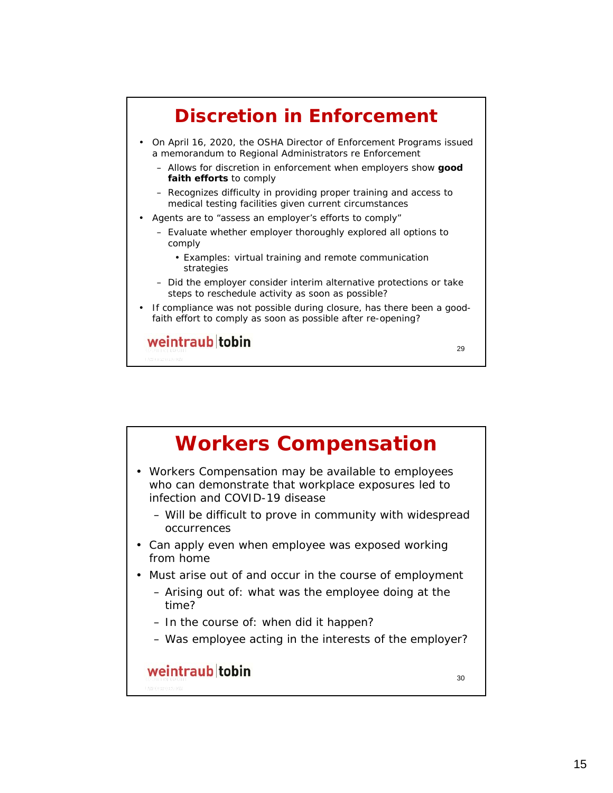

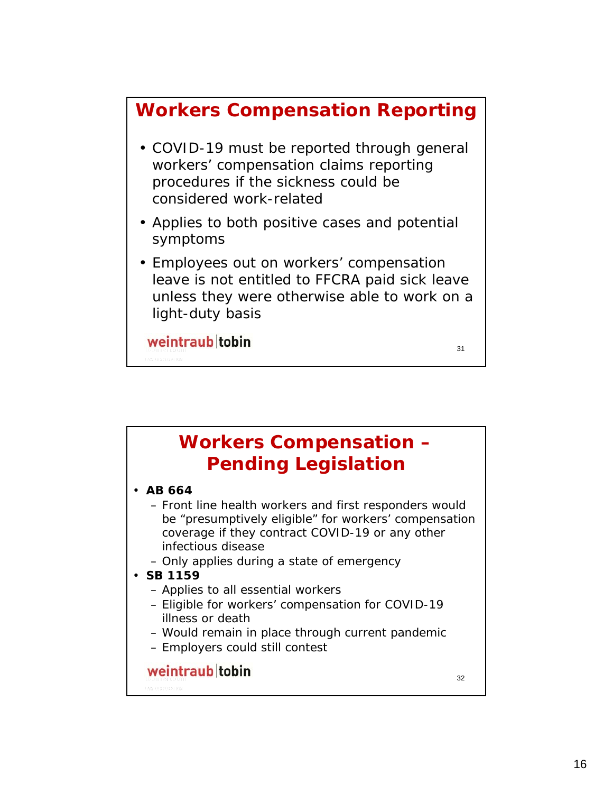### **Workers Compensation Reporting**

- COVID-19 must be reported through general workers' compensation claims reporting procedures if the sickness *could* be considered work-related
- Applies to both positive cases and potential symptoms
- Employees out on workers' compensation leave is not entitled to FFCRA paid sick leave unless they were otherwise able to work on a light-duty basis

31

weintraub tobin

**Workers Compensation – Pending Legislation** • **AB 664** – Front line health workers and first responders would be "presumptively eligible" for workers' compensation coverage if they contract COVID-19 or any other infectious disease – Only applies during a state of emergency • **SB 1159** – Applies to all essential workers – Eligible for workers' compensation for COVID-19 illness or death – Would remain in place through current pandemic – Employers could still contestweintraub tobin 32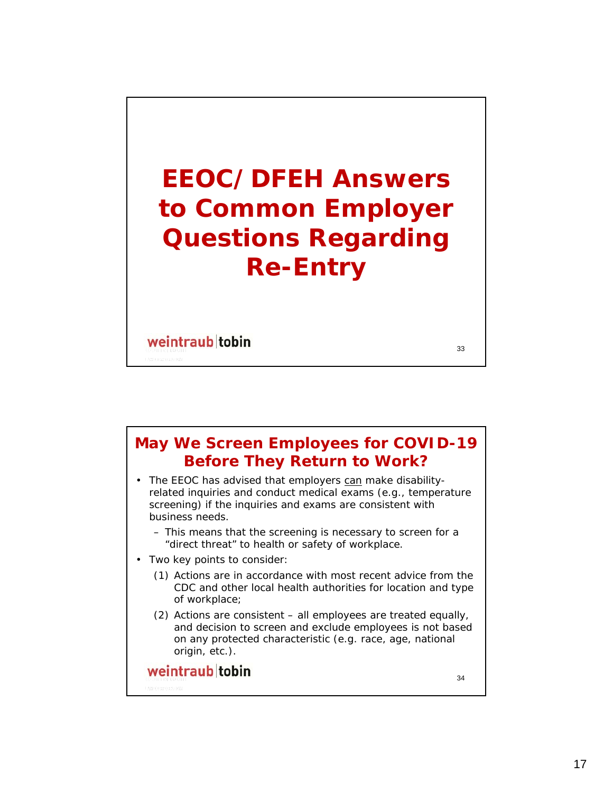# **EEOC/DFEH Answers to Common Employer Questions Regarding Re-Entry**

33

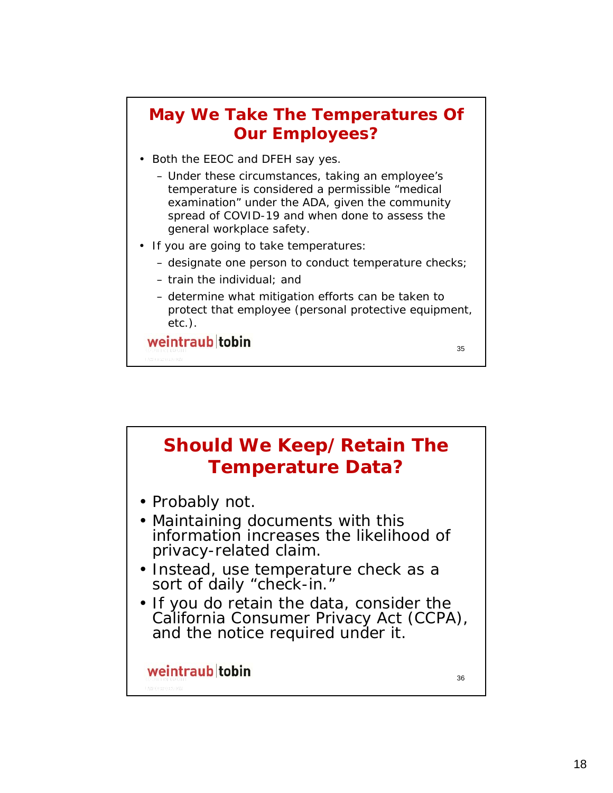#### **May We Take The Temperatures Of Our Employees?**

- Both the EEOC and DFEH say yes.
	- Under these circumstances, taking an employee's temperature is considered a permissible "medical examination" under the ADA, given the community spread of COVID-19 and when done to assess the general workplace safety.
- If you are going to take temperatures:
	- designate one person to conduct temperature checks;
	- train the individual; and
	- determine what mitigation efforts can be taken to protect that employee (personal protective equipment, etc.).

35

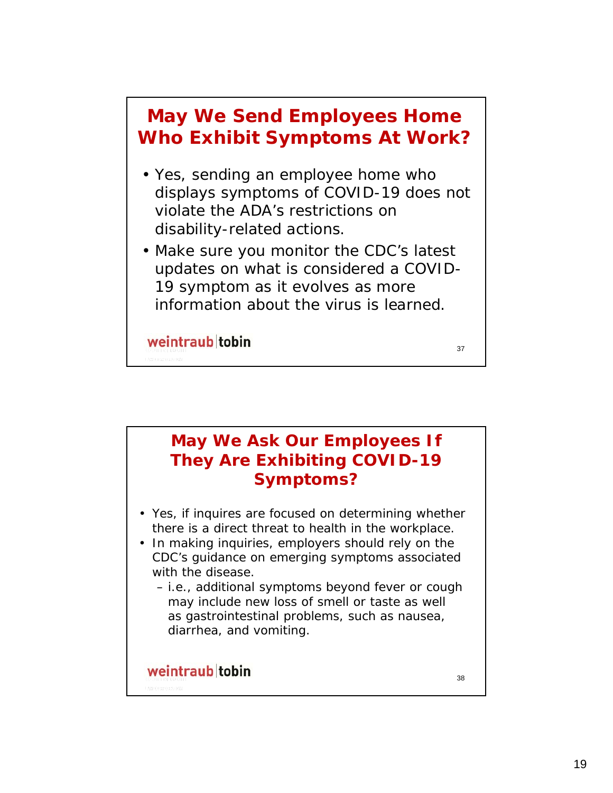

#### **May We Ask Our Employees If They Are Exhibiting COVID-19 Symptoms?**

- Yes, if inquires are focused on determining whether there is a direct threat to health in the workplace.
- In making inquiries, employers should rely on the CDC's guidance on emerging symptoms associated with the disease.
	- i.e., additional symptoms beyond fever or cough may include new loss of smell or taste as well as gastrointestinal problems, such as nausea, diarrhea, and vomiting.

#### weintraub tobin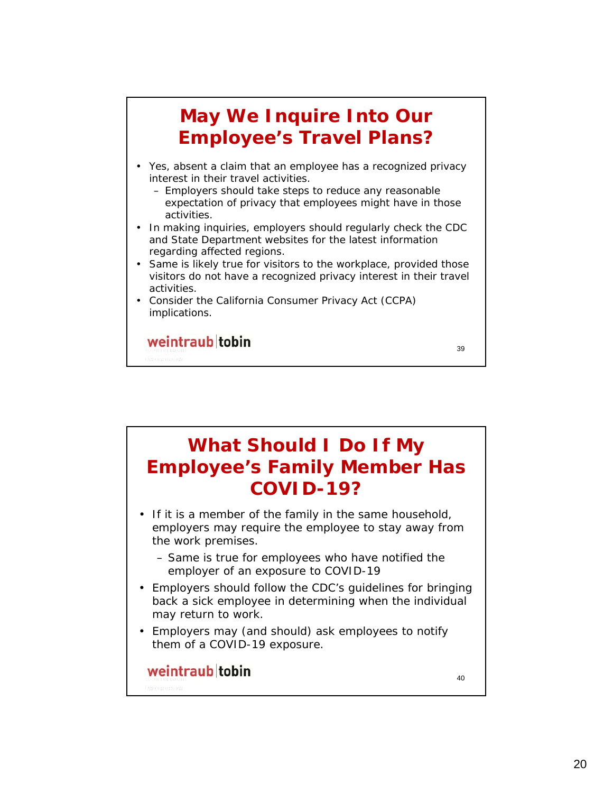### **May We Inquire Into Our Employee's Travel Plans?**

- Yes, absent a claim that an employee has a recognized privacy interest in their travel activities.
	- Employers should take steps to reduce any reasonable expectation of privacy that employees might have in those activities.
- In making inquiries, employers should regularly check the CDC and State Department websites for the latest information regarding affected regions.
- Same is likely true for visitors to the workplace, provided those visitors do not have a recognized privacy interest in their travel activities.
- Consider the California Consumer Privacy Act (CCPA) implications.

weintraub tobin

**What Should I Do If My Employee's Family Member Has COVID-19?** • If it is a member of the family in the same household, employers may require the employee to stay away from the work premises. – Same is true for employees who have notified the

- employer of an exposure to COVID-19 • Employers should follow the CDC's guidelines for bringing back a sick employee in determining when the individual
- may return to work. • Employers may (and should) ask employees to notify
- them of a COVID-19 exposure.

#### weintraub tobin

40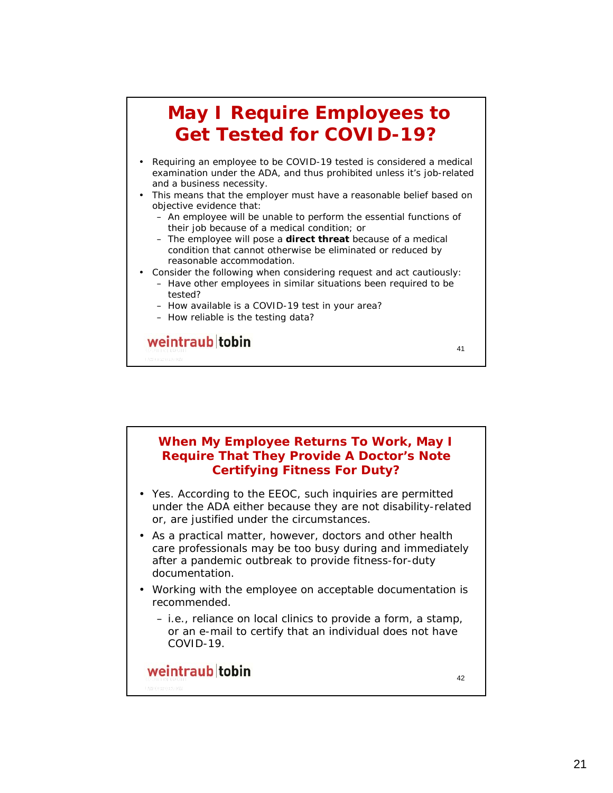### **May I Require Employees to Get Tested for COVID-19?**

- Requiring an employee to be COVID-19 tested is considered a medical examination under the ADA, and thus prohibited unless it's job-related and a business necessity.
- This means that the employer must have a reasonable belief based on objective evidence that:
	- An employee will be unable to perform the essential functions of their job because of a medical condition; or
	- The employee will pose a **direct threat** because of a medical condition that cannot otherwise be eliminated or reduced by reasonable accommodation.
- Consider the following when considering request and act cautiously:
	- Have other employees in similar situations been required to be tested?

41

- How available is a COVID-19 test in your area?
- How reliable is the testing data?

weintraub tobin

**When My Employee Returns To Work, May I Require That They Provide A Doctor's Note Certifying Fitness For Duty?** • Yes. According to the EEOC, such inquiries are permitted under the ADA either because they are not disability-related or, are justified under the circumstances. • As a practical matter, however, doctors and other health care professionals may be too busy during and immediately after a pandemic outbreak to provide fitness-for-duty documentation. • Working with the employee on acceptable documentation is recommended. – i.e., reliance on local clinics to provide a form, a stamp, or an e-mail to certify that an individual does not have COVID-19.weintraub tobin 42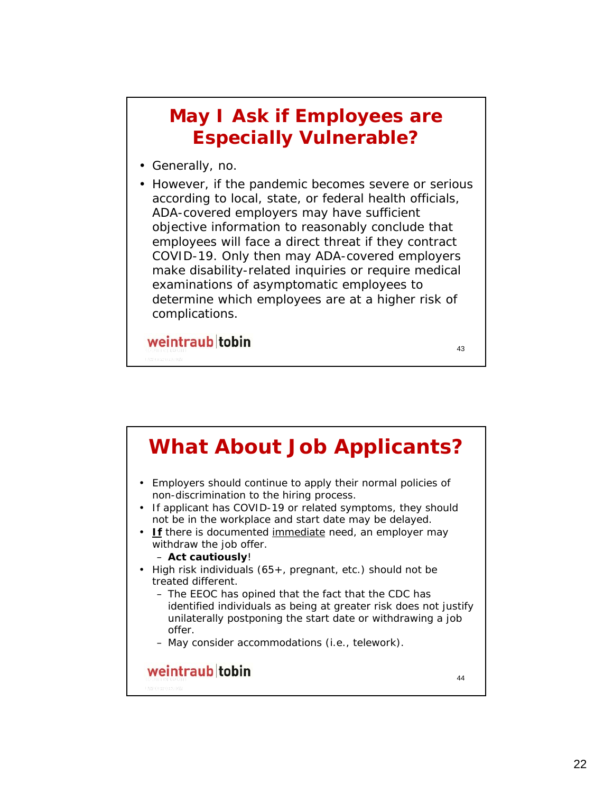### **May I Ask if Employees are Especially Vulnerable?**

- Generally, no.
- However, if the pandemic becomes severe or serious according to local, state, or federal health officials, ADA-covered employers may have sufficient objective information to reasonably conclude that employees will face a direct threat if they contract COVID-19. Only then may ADA-covered employers make disability-related inquiries or require medical examinations of asymptomatic employees to determine which employees are at a higher risk of complications.

43

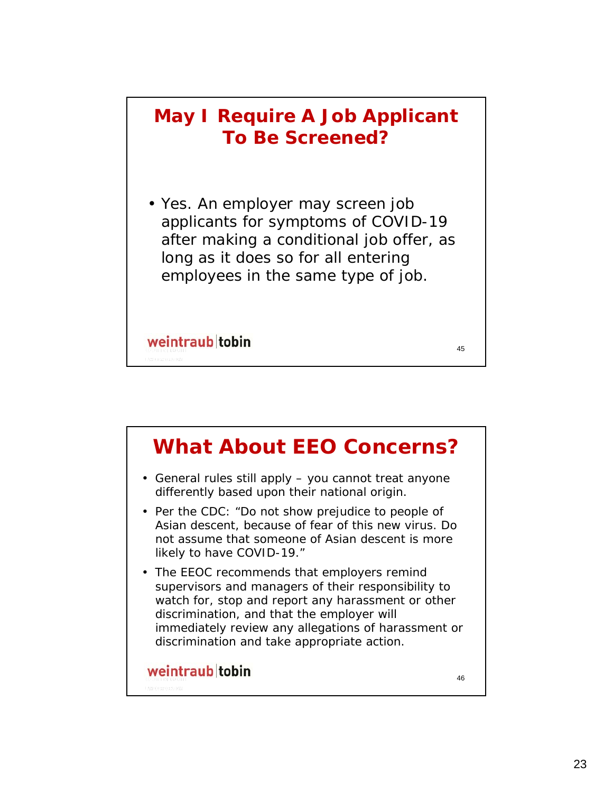### **May I Require A Job Applicant To Be Screened?**

• Yes. An employer may screen job applicants for symptoms of COVID-19 after making a conditional job offer, as long as it does so for all entering employees in the same type of job.

45

weintraub tobin

**What About EEO Concerns?** • General rules still apply – you cannot treat anyone differently based upon their national origin. • Per the CDC: "Do not show prejudice to people of Asian descent, because of fear of this new virus. Do not assume that someone of Asian descent is more likely to have COVID-19." • The EEOC recommends that employers remind supervisors and managers of their responsibility to watch for, stop and report any harassment or other discrimination, and that the employer will immediately review any allegations of harassment or discrimination and take appropriate action.weintraub tobin 46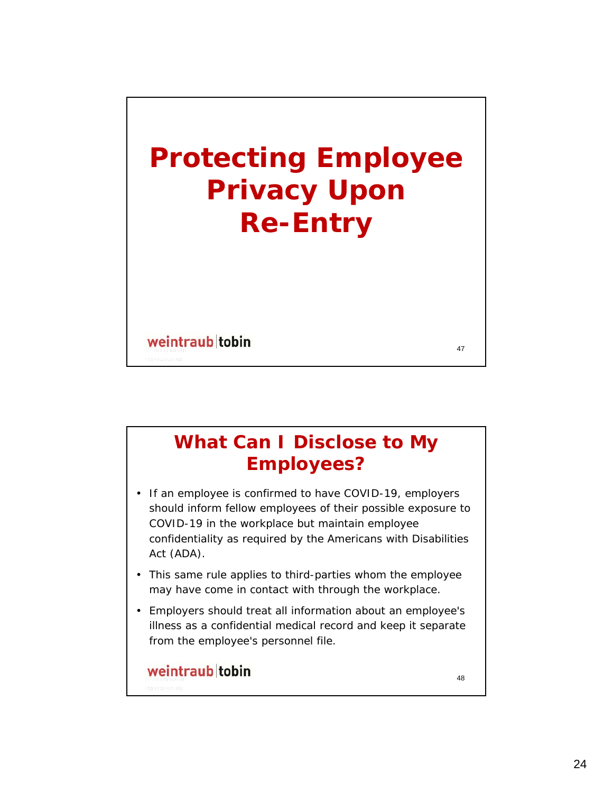

### **What Can I Disclose to My Employees?**

- If an employee is confirmed to have COVID-19, employers should inform fellow employees of their possible exposure to COVID-19 in the workplace but maintain employee confidentiality as required by the Americans with Disabilities Act (ADA).
- This same rule applies to third-parties whom the employee may have come in contact with through the workplace.
- Employers should treat all information about an employee's illness as a confidential medical record and keep it separate from the employee's personnel file.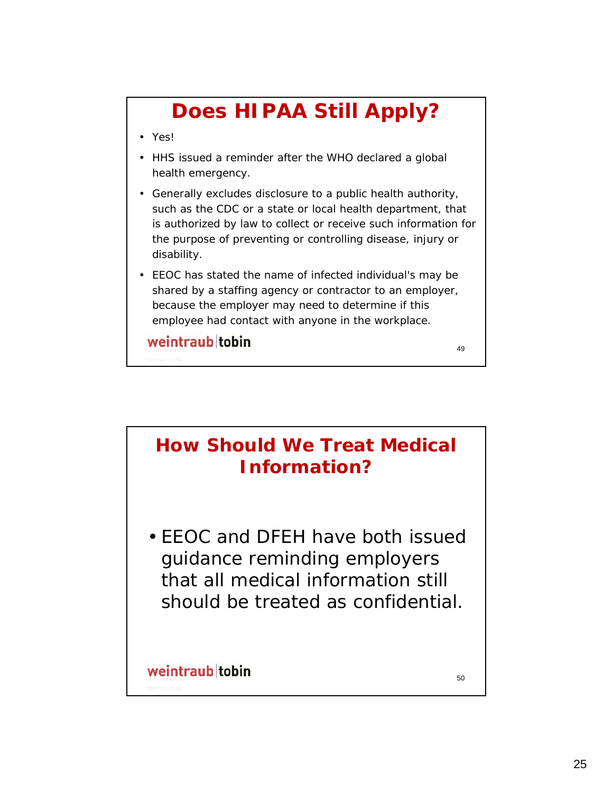## **Does HIPAA Still Apply?**

- Yes!
- HHS issued a reminder after the WHO declared a global health emergency.
- Generally excludes disclosure to a public health authority, such as the CDC or a state or local health department, that is authorized by law to collect or receive such information for the purpose of preventing or controlling disease, injury or disability.
- EEOC has stated the name of infected individual's may be shared by a staffing agency or contractor to an employer, because the employer may need to determine if this employee had contact with anyone in the workplace.

weintraub tobin

**How Should We Treat Medical Information?**

• EEOC and DFEH have both issued guidance reminding employers that all medical information still should be treated as confidential.

#### weintraub tobin

50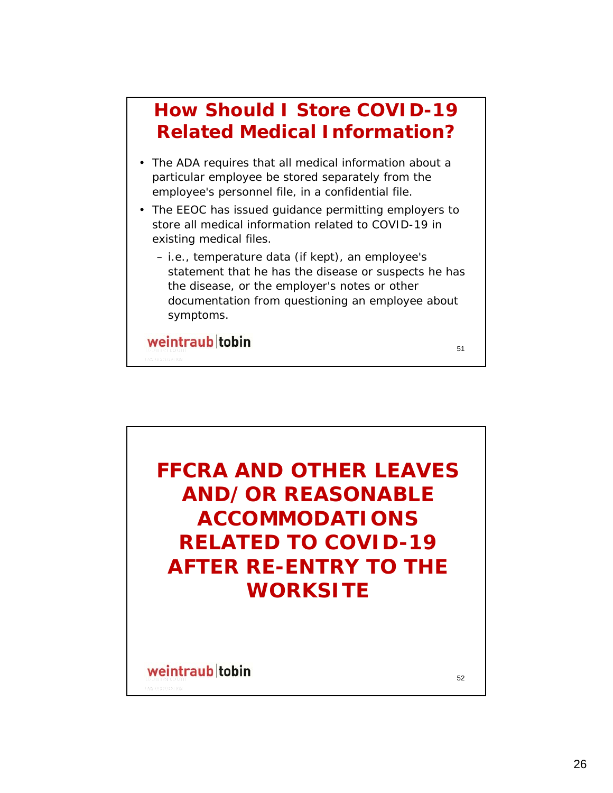### **How Should I Store COVID-19 Related Medical Information?**

- The ADA requires that all medical information about a particular employee be stored separately from the employee's personnel file, in a confidential file.
- The EEOC has issued guidance permitting employers to store all medical information related to COVID-19 in existing medical files.
	- i.e., temperature data (if kept), an employee's statement that he has the disease or suspects he has the disease, or the employer's notes or other documentation from questioning an employee about symptoms.

51

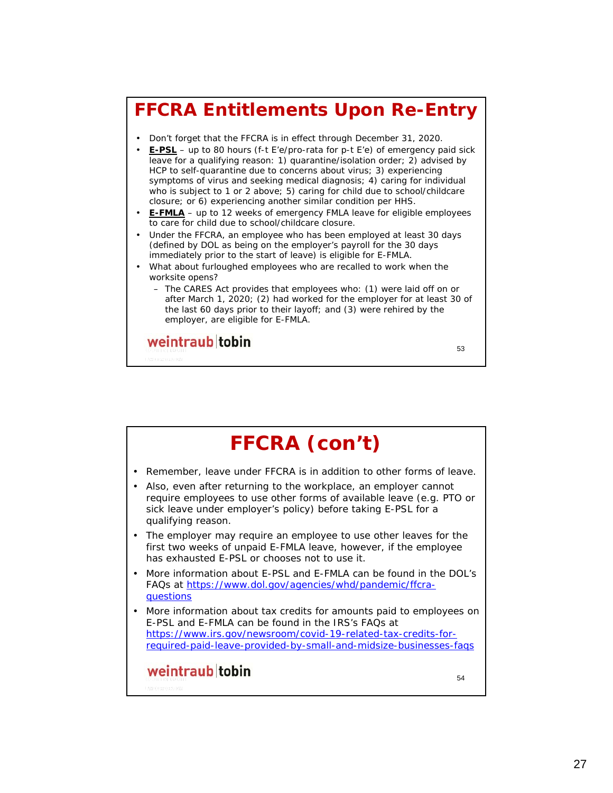### **FFCRA Entitlements Upon Re-Entry**

- Don't forget that the FFCRA is in effect through December 31, 2020.
- **E-PSL** up to 80 hours (f-t E'e/pro-rata for p-t E'e) of emergency paid sick leave for a qualifying reason: 1) quarantine/isolation order; 2) advised by HCP to self-quarantine due to concerns about virus; 3) experiencing symptoms of virus and seeking medical diagnosis; 4) caring for individual who is subject to 1 or 2 above; 5) caring for child due to school/childcare closure; or 6) experiencing another similar condition per HHS.
- **E-FMLA** up to 12 weeks of emergency FMLA leave for eligible employees to care for child due to school/childcare closure.
- Under the FFCRA, an employee who has been employed at least 30 days (defined by DOL as being on the employer's payroll for the 30 days immediately prior to the start of leave) is eligible for E-FMLA.
- What about furloughed employees who are recalled to work when the worksite opens?
	- The CARES Act provides that employees who: (1) were laid off on or after March 1, 2020; (2) had worked for the employer for at least 30 of the last 60 days prior to their layoff; and (3) were rehired by the employer, are eligible for E-FMLA.

53

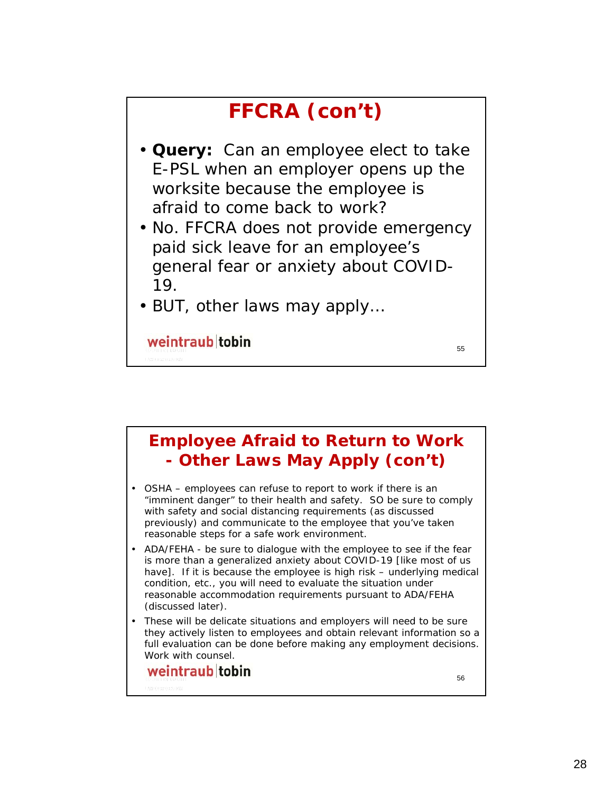## **FFCRA (con't)**

- **Query:** Can an employee elect to take E-PSL when an employer opens up the worksite because the employee is afraid to come back to work?
- No. FFCRA does not provide emergency paid sick leave for an employee's general fear or anxiety about COVID-19.
- BUT, other laws may apply…

weintraub tobin

55

#### **Employee Afraid to Return to Work - Other Laws May Apply (con't)**

- OSHA employees can refuse to report to work if there is an "imminent danger" to their health and safety. SO be sure to comply with safety and social distancing requirements (as discussed previously) and communicate to the employee that you've taken reasonable steps for a safe work environment.
- ADA/FEHA be sure to dialogue with the employee to see if the fear is more than a generalized anxiety about COVID-19 [like most of us have]. If it is because the employee is high risk – underlying medical condition, etc., you will need to evaluate the situation under reasonable accommodation requirements pursuant to ADA/FEHA (discussed later).
- These will be delicate situations and employers will need to be sure they actively listen to employees and obtain relevant information so a full evaluation can be done before making any employment decisions. Work with counsel.

#### weintraub tobin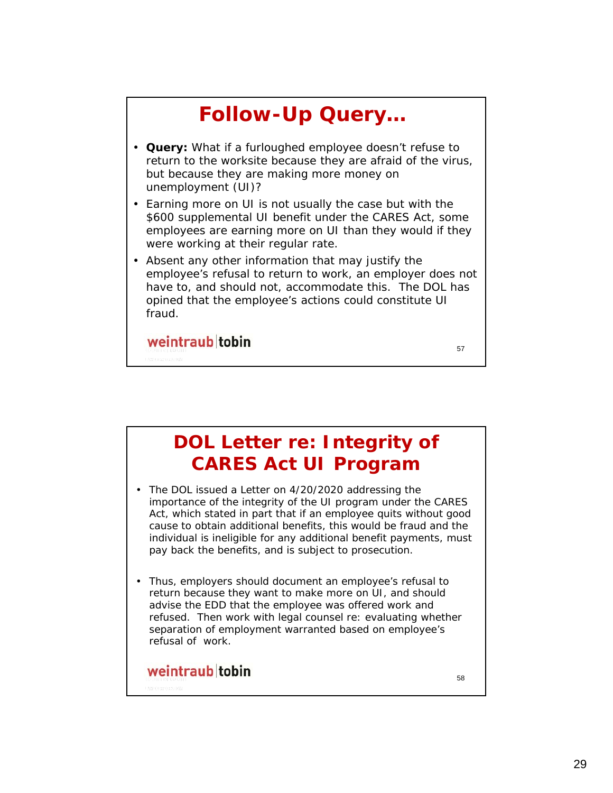

#### **DOL Letter re: Integrity of CARES Act UI Program**

- The DOL issued a Letter on 4/20/2020 addressing the importance of the integrity of the UI program under the CARES Act, which stated in part that if an employee quits without good cause to obtain additional benefits, this would be fraud and the individual is ineligible for any additional benefit payments, must pay back the benefits, and is subject to prosecution.
- Thus, employers should document an employee's refusal to return because they want to make more on UI, and should advise the EDD that the employee was offered work and refused. Then work with legal counsel re: evaluating whether separation of employment warranted based on employee's refusal of work.

#### weintraub tobin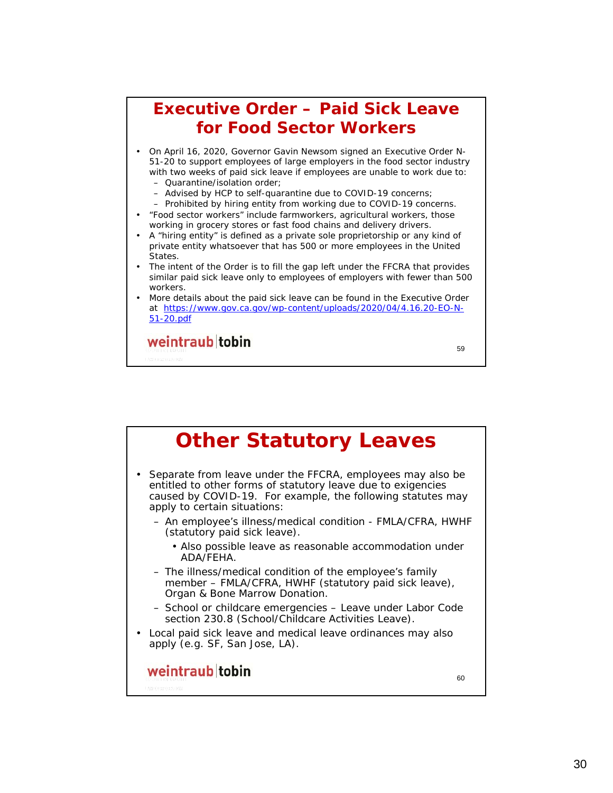

**Other Statutory Leaves** • Separate from leave under the FFCRA, employees may also be entitled to other forms of statutory leave due to exigencies caused by COVID-19. For example, the following statutes may apply to certain situations: – An employee's illness/medical condition - FMLA/CFRA, HWHF (statutory paid sick leave). • Also possible leave as reasonable accommodation under ADA/FEHA. – The illness/medical condition of the employee's family member – FMLA/CFRA, HWHF (statutory paid sick leave), Organ & Bone Marrow Donation. – School or childcare emergencies – Leave under Labor Code section 230.8 (School/Childcare Activities Leave). • Local paid sick leave and medical leave ordinances may also apply (e.g. SF, San Jose, LA).weintraub tobin  $60$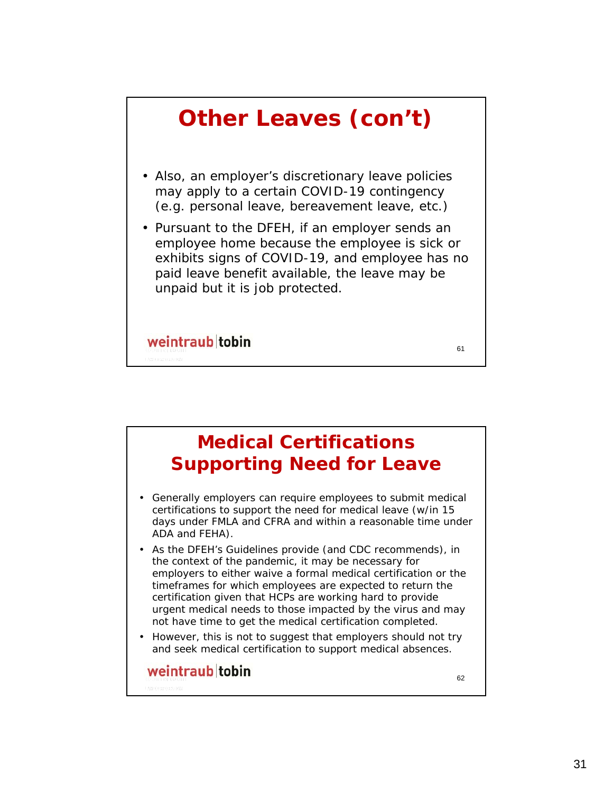

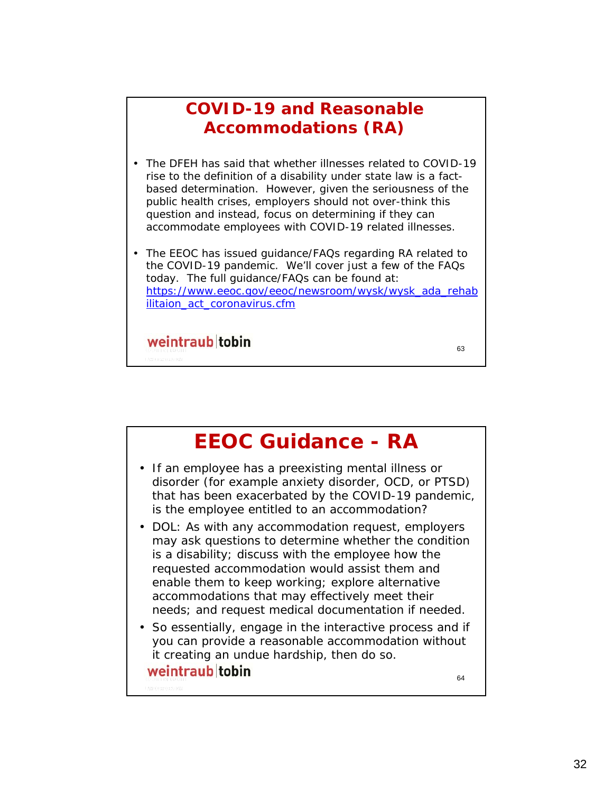#### **COVID-19 and Reasonable Accommodations (RA)**

- The DFEH has said that whether illnesses related to COVID-19 rise to the definition of a disability under state law is a factbased determination. However, given the seriousness of the public health crises, employers should not over-think this question and instead, focus on determining if they can accommodate employees with COVID-19 related illnesses.
- The EEOC has issued guidance/FAQs regarding RA related to the COVID-19 pandemic. We'll cover just a few of the FAQs today. The full guidance/FAQs can be found at: https://www.eeoc.gov/eeoc/newsroom/wysk/wysk\_ada\_rehab ilitaion act coronavirus.cfm

63

weintraub tobin

**EEOC Guidance - RA** • If an employee has a preexisting mental illness or disorder (for example anxiety disorder, OCD, or PTSD) that has been exacerbated by the COVID-19 pandemic, is the employee entitled to an accommodation? • DOL: As with any accommodation request, employers may ask questions to determine whether the condition is a disability; discuss with the employee how the requested accommodation would assist them and enable them to keep working; explore alternative accommodations that may effectively meet their needs; and request medical documentation if needed. • So essentially, engage in the interactive process and if you can provide a reasonable accommodation without it creating an undue hardship, then do so.weintraub tobin 64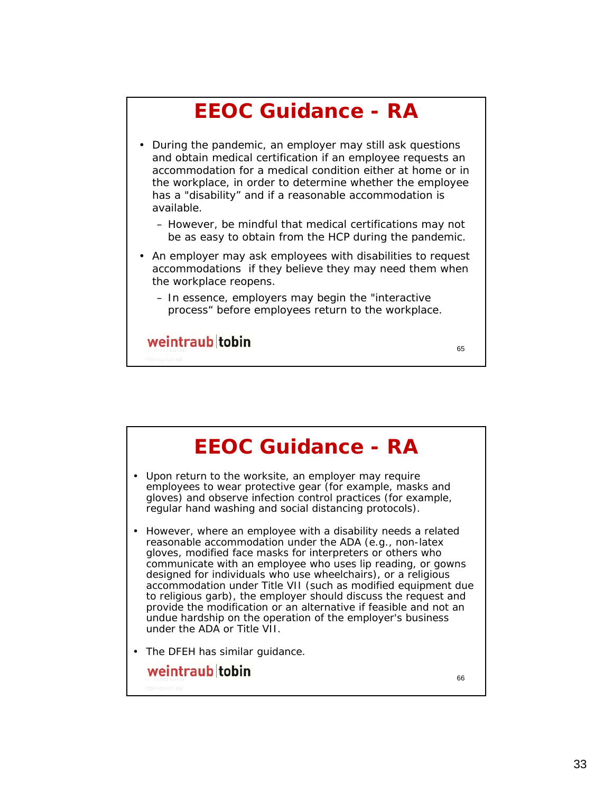

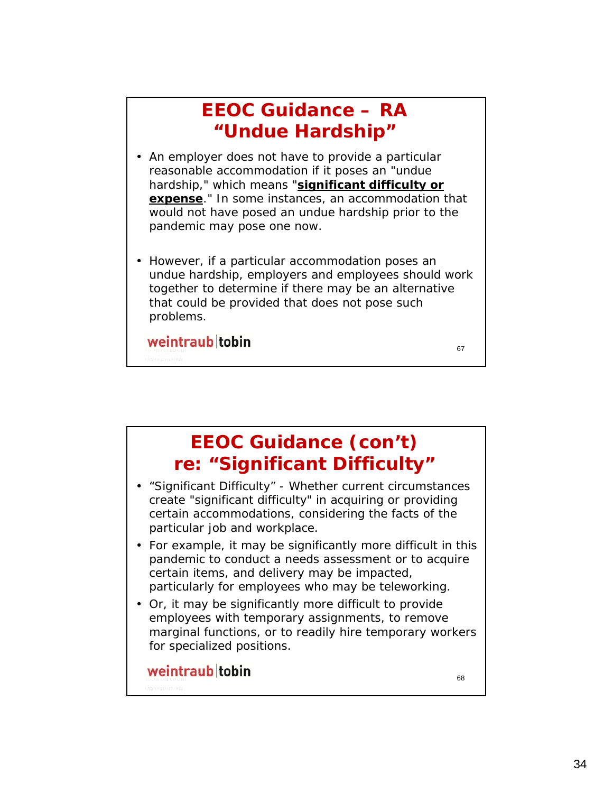### **EEOC Guidance – RA "Undue Hardship"**

- An employer does not have to provide a particular reasonable accommodation if it poses an "undue hardship," which means "**significant difficulty or expense**." In some instances, an accommodation that would not have posed an undue hardship prior to the pandemic may pose one now.
- However, if a particular accommodation poses an undue hardship, employers and employees should work together to determine if there may be an alternative that could be provided that does not pose such problems.

67

weintraub tobin

**EEOC Guidance (con't) re: "Significant Difficulty"** • "Significant Difficulty" - Whether current circumstances create "significant difficulty" in acquiring or providing certain accommodations, considering the facts of the particular job and workplace. • For example, it may be significantly more difficult in this pandemic to conduct a needs assessment or to acquire certain items, and delivery may be impacted, particularly for employees who may be teleworking. • Or, it may be significantly more difficult to provide employees with temporary assignments, to remove marginal functions, or to readily hire temporary workers for specialized positions. weintraub tobin 68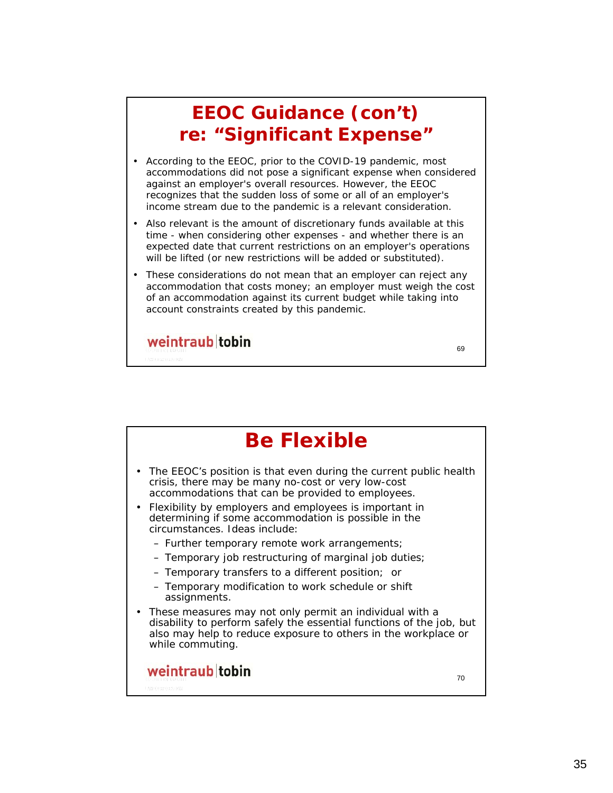### **EEOC Guidance (con't) re: "Significant Expense"**

- According to the EEOC, prior to the COVID-19 pandemic, most accommodations did not pose a significant expense when considered against an employer's overall resources. However, the EEOC recognizes that the sudden loss of some or all of an employer's income stream due to the pandemic is a relevant consideration.
- Also relevant is the amount of discretionary funds available at this time - when considering other expenses - and whether there is an expected date that current restrictions on an employer's operations will be lifted (or new restrictions will be added or substituted).
- These considerations do not mean that an employer can reject any accommodation that costs money; an employer must weigh the cost of an accommodation against its current budget while taking into account constraints created by this pandemic.

69

weintraub tobin

**Be Flexible** • The EEOC's position is that even during the current public health crisis, there may be many no-cost or very low-cost accommodations that can be provided to employees. • Flexibility by employers and employees is important in determining if some accommodation is possible in the circumstances. Ideas include: – Further temporary remote work arrangements; – Temporary job restructuring of marginal job duties; – Temporary transfers to a different position; or – Temporary modification to work schedule or shift assignments. • These measures may not only permit an individual with a disability to perform safely the essential functions of the job, but also may help to reduce exposure to others in the workplace or while commuting.weintraub tobin 70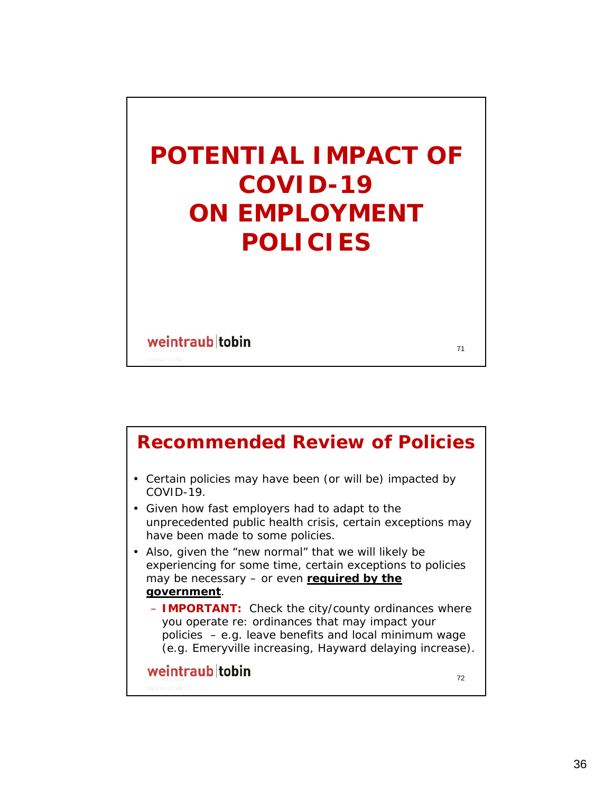

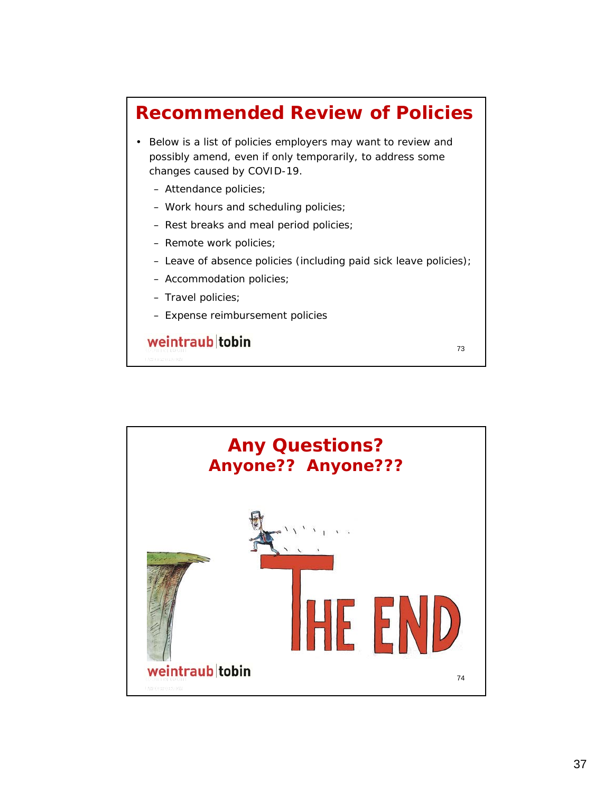### **Recommended Review of Policies**

- Below is a list of policies employers may want to review and possibly amend, even if only temporarily, to address some changes caused by COVID-19.
	- Attendance policies;
	- Work hours and scheduling policies;
	- Rest breaks and meal period policies;
	- Remote work policies;
	- Leave of absence policies (including paid sick leave policies);

73

- Accommodation policies;
- Travel policies;
- Expense reimbursement policies

weintraub tobin

**Any Questions?**  *Anyone?? Anyone???*HE EI weintraub tobin 74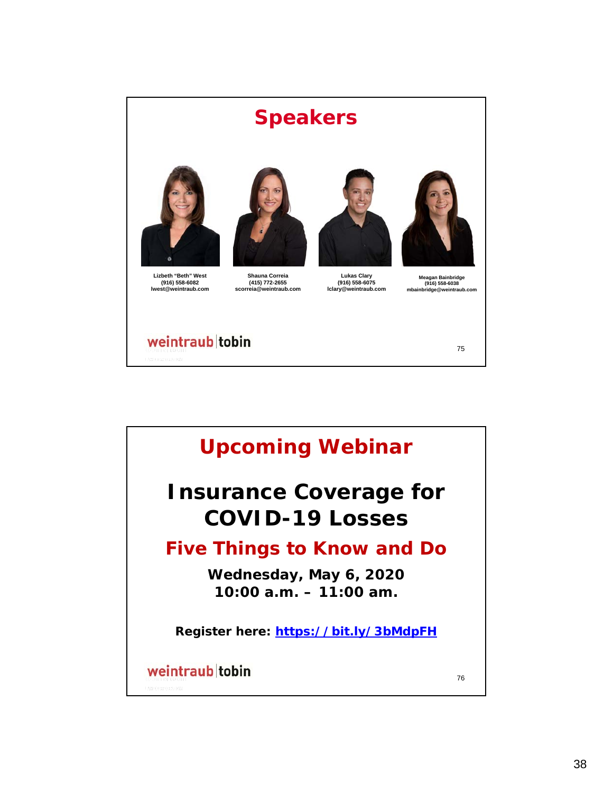